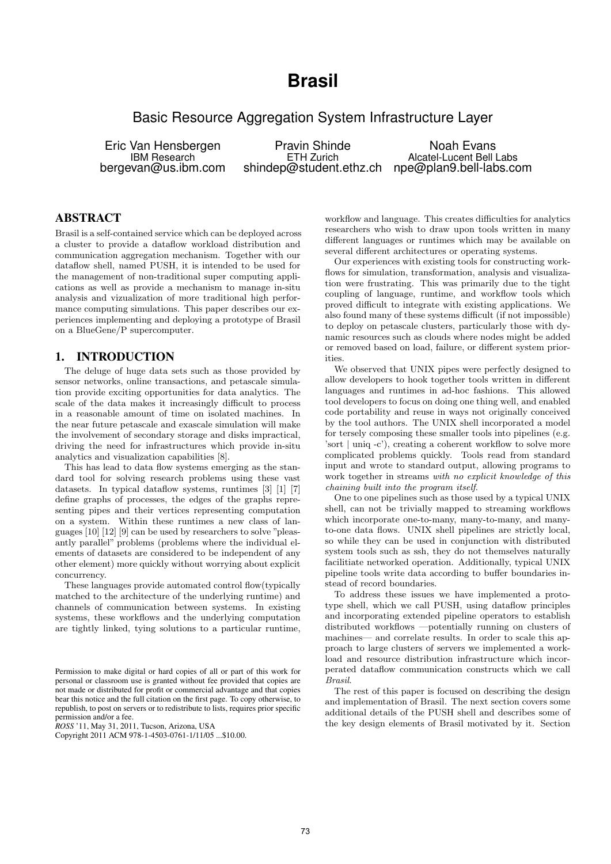# **Brasil**

## Basic Resource Aggregation System Infrastructure Layer

Eric Van Hensbergen IBM Research bergevan@us.ibm.com

Pravin Shinde ETH Zurich shindep@student.ethz.ch npe@plan9.bell-labs.com

Noah Evans Alcatel-Lucent Bell Labs

## ABSTRACT

Brasil is a self-contained service which can be deployed across a cluster to provide a dataflow workload distribution and communication aggregation mechanism. Together with our dataflow shell, named PUSH, it is intended to be used for the management of non-traditional super computing applications as well as provide a mechanism to manage in-situ analysis and vizualization of more traditional high performance computing simulations. This paper describes our experiences implementing and deploying a prototype of Brasil on a BlueGene/P supercomputer.

## 1. INTRODUCTION

The deluge of huge data sets such as those provided by sensor networks, online transactions, and petascale simulation provide exciting opportunities for data analytics. The scale of the data makes it increasingly difficult to process in a reasonable amount of time on isolated machines. In the near future petascale and exascale simulation will make the involvement of secondary storage and disks impractical, driving the need for infrastructures which provide in-situ analytics and visualization capabilities [8].

This has lead to data flow systems emerging as the standard tool for solving research problems using these vast datasets. In typical dataflow systems, runtimes [3] [1] [7] define graphs of processes, the edges of the graphs representing pipes and their vertices representing computation on a system. Within these runtimes a new class of languages [10] [12] [9] can be used by researchers to solve "pleasantly parallel" problems (problems where the individual elements of datasets are considered to be independent of any other element) more quickly without worrying about explicit concurrency.

These languages provide automated control flow(typically matched to the architecture of the underlying runtime) and channels of communication between systems. In existing systems, these workflows and the underlying computation are tightly linked, tying solutions to a particular runtime,

*ROSS* '11, May 31, 2011, Tucson, Arizona, USA

workflow and language. This creates difficulties for analytics researchers who wish to draw upon tools written in many different languages or runtimes which may be available on several different architectures or operating systems.

Our experiences with existing tools for constructing workflows for simulation, transformation, analysis and visualization were frustrating. This was primarily due to the tight coupling of language, runtime, and workflow tools which proved difficult to integrate with existing applications. We also found many of these systems difficult (if not impossible) to deploy on petascale clusters, particularly those with dynamic resources such as clouds where nodes might be added or removed based on load, failure, or different system priorities.

We observed that UNIX pipes were perfectly designed to allow developers to hook together tools written in different languages and runtimes in ad-hoc fashions. This allowed tool developers to focus on doing one thing well, and enabled code portability and reuse in ways not originally conceived by the tool authors. The UNIX shell incorporated a model for tersely composing these smaller tools into pipelines (e.g. 'sort | uniq -c'), creating a coherent workflow to solve more complicated problems quickly. Tools read from standard input and wrote to standard output, allowing programs to work together in streams with no explicit knowledge of this chaining built into the program itself.

One to one pipelines such as those used by a typical UNIX shell, can not be trivially mapped to streaming workflows which incorporate one-to-many, many-to-many, and manyto-one data flows. UNIX shell pipelines are strictly local, so while they can be used in conjunction with distributed system tools such as ssh, they do not themselves naturally facilitiate networked operation. Additionally, typical UNIX pipeline tools write data according to buffer boundaries instead of record boundaries.

To address these issues we have implemented a prototype shell, which we call PUSH, using dataflow principles and incorporating extended pipeline operators to establish distributed workflows —potentially running on clusters of machines— and correlate results. In order to scale this approach to large clusters of servers we implemented a workload and resource distribution infrastructure which incorperated dataflow communication constructs which we call Brasil.

The rest of this paper is focused on describing the design and implementation of Brasil. The next section covers some additional details of the PUSH shell and describes some of the key design elements of Brasil motivated by it. Section

Permission to make digital or hard copies of all or part of this work for personal or classroom use is granted without fee provided that copies are not made or distributed for profit or commercial advantage and that copies bear this notice and the full citation on the first page. To copy otherwise, to republish, to post on servers or to redistribute to lists, requires prior specific permission and/or a fee.

Copyright 2011 ACM 978-1-4503-0761-1/11/05 ...\$10.00.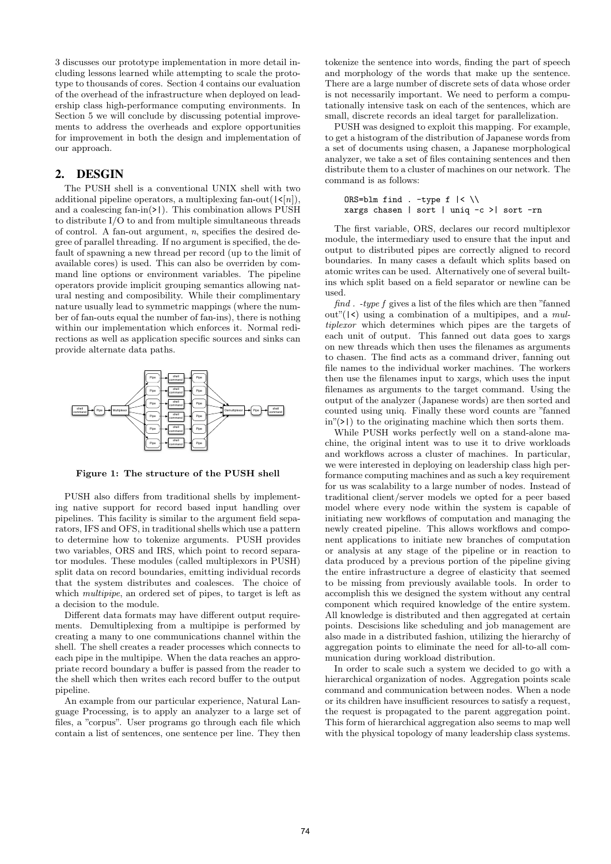3 discusses our prototype implementation in more detail including lessons learned while attempting to scale the prototype to thousands of cores. Section 4 contains our evaluation of the overhead of the infrastructure when deployed on leadership class high-performance computing environments. In Section 5 we will conclude by discussing potential improvements to address the overheads and explore opportunities for improvement in both the design and implementation of our approach.

## 2. DESGIN

The PUSH shell is a conventional UNIX shell with two additional pipeline operators, a multiplexing fan-out( $|\langle n| \rangle$ ), and a coalescing fan-in(>|). This combination allows PUSH to distribute I/O to and from multiple simultaneous threads of control. A fan-out argument, n, specifies the desired degree of parallel threading. If no argument is specified, the default of spawning a new thread per record (up to the limit of available cores) is used. This can also be overriden by command line options or environment variables. The pipeline operators provide implicit grouping semantics allowing natural nesting and composibility. While their complimentary nature usually lead to symmetric mappings (where the number of fan-outs equal the number of fan-ins), there is nothing within our implementation which enforces it. Normal redirections as well as application specific sources and sinks can provide alternate data paths.



Figure 1: The structure of the PUSH shell

PUSH also differs from traditional shells by implementing native support for record based input handling over pipelines. This facility is similar to the argument field separators, IFS and OFS, in traditional shells which use a pattern to determine how to tokenize arguments. PUSH provides two variables, ORS and IRS, which point to record separator modules. These modules (called multiplexors in PUSH) split data on record boundaries, emitting individual records that the system distributes and coalesces. The choice of which *multipipe*, an ordered set of pipes, to target is left as a decision to the module.

Different data formats may have different output requirements. Demultiplexing from a multipipe is performed by creating a many to one communications channel within the shell. The shell creates a reader processes which connects to each pipe in the multipipe. When the data reaches an appropriate record boundary a buffer is passed from the reader to the shell which then writes each record buffer to the output pipeline.

An example from our particular experience, Natural Language Processing, is to apply an analyzer to a large set of files, a "corpus". User programs go through each file which contain a list of sentences, one sentence per line. They then

tokenize the sentence into words, finding the part of speech and morphology of the words that make up the sentence. There are a large number of discrete sets of data whose order is not necessarily important. We need to perform a computationally intensive task on each of the sentences, which are small, discrete records an ideal target for parallelization.

PUSH was designed to exploit this mapping. For example, to get a histogram of the distribution of Japanese words from a set of documents using chasen, a Japanese morphological analyzer, we take a set of files containing sentences and then distribute them to a cluster of machines on our network. The command is as follows:

```
ORS=blm find . -type f |\langle \ranglexargs chasen | sort | uniq -c >| sort -rn
```
The first variable, ORS, declares our record multiplexor module, the intermediary used to ensure that the input and output to distributed pipes are correctly aligned to record boundaries. In many cases a default which splits based on atomic writes can be used. Alternatively one of several builtins which split based on a field separator or newline can be used.

 $find.$  -type f gives a list of the files which are then "fanned" out"( $|\langle \rangle$ ) using a combination of a multipipes, and a multiplexor which determines which pipes are the targets of each unit of output. This fanned out data goes to xargs on new threads which then uses the filenames as arguments to chasen. The find acts as a command driver, fanning out file names to the individual worker machines. The workers then use the filenames input to xargs, which uses the input filenames as arguments to the target command. Using the output of the analyzer (Japanese words) are then sorted and counted using uniq. Finally these word counts are "fanned  $in''(>|)$  to the originating machine which then sorts them.

While PUSH works perfectly well on a stand-alone machine, the original intent was to use it to drive workloads and workflows across a cluster of machines. In particular, we were interested in deploying on leadership class high performance computing machines and as such a key requirement for us was scalability to a large number of nodes. Instead of traditional client/server models we opted for a peer based model where every node within the system is capable of initiating new workflows of computation and managing the newly created pipeline. This allows workflows and component applications to initiate new branches of computation or analysis at any stage of the pipeline or in reaction to data produced by a previous portion of the pipeline giving the entire infrastructure a degree of elasticity that seemed to be missing from previously available tools. In order to accomplish this we designed the system without any central component which required knowledge of the entire system. All knowledge is distributed and then aggregated at certain points. Descisions like scheduling and job management are also made in a distributed fashion, utilizing the hierarchy of aggregation points to eliminate the need for all-to-all communication during workload distribution.

In order to scale such a system we decided to go with a hierarchical organization of nodes. Aggregation points scale command and communication between nodes. When a node or its children have insufficient resources to satisfy a request, the request is propagated to the parent aggregation point. This form of hierarchical aggregation also seems to map well with the physical topology of many leadership class systems.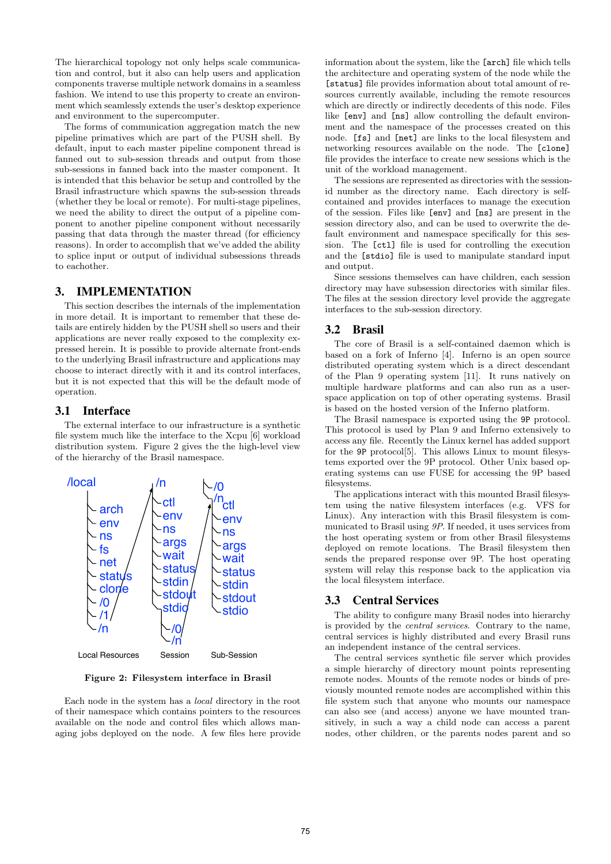The hierarchical topology not only helps scale communication and control, but it also can help users and application components traverse multiple network domains in a seamless fashion. We intend to use this property to create an environment which seamlessly extends the user's desktop experience and environment to the supercomputer.

The forms of communication aggregation match the new pipeline primatives which are part of the PUSH shell. By default, input to each master pipeline component thread is fanned out to sub-session threads and output from those sub-sessions in fanned back into the master component. It is intended that this behavior be setup and controlled by the Brasil infrastructure which spawns the sub-session threads (whether they be local or remote). For multi-stage pipelines, we need the ability to direct the output of a pipeline component to another pipeline component without necessarily passing that data through the master thread (for efficiency reasons). In order to accomplish that we've added the ability to splice input or output of individual subsessions threads to eachother.

## 3. IMPLEMENTATION

This section describes the internals of the implementation in more detail. It is important to remember that these details are entirely hidden by the PUSH shell so users and their applications are never really exposed to the complexity expressed herein. It is possible to provide alternate front-ends to the underlying Brasil infrastructure and applications may choose to interact directly with it and its control interfaces, but it is not expected that this will be the default mode of operation.

#### 3.1 Interface

The external interface to our infrastructure is a synthetic file system much like the interface to the Xcpu [6] workload distribution system. Figure 2 gives the the high-level view of the hierarchy of the Brasil namespace.



Figure 2: Filesystem interface in Brasil

Each node in the system has a local directory in the root of their namespace which contains pointers to the resources available on the node and control files which allows managing jobs deployed on the node. A few files here provide information about the system, like the [arch] file which tells the architecture and operating system of the node while the [status] file provides information about total amount of resources currently available, including the remote resources which are directly or indirectly decedents of this node. Files like [env] and [ns] allow controlling the default environment and the namespace of the processes created on this node. [fs] and [net] are links to the local filesystem and networking resources available on the node. The [clone] file provides the interface to create new sessions which is the unit of the workload management.

The sessions are represented as directories with the sessionid number as the directory name. Each directory is selfcontained and provides interfaces to manage the execution of the session. Files like [env] and [ns] are present in the session directory also, and can be used to overwrite the default environment and namespace specifically for this session. The [ctl] file is used for controlling the execution and the [stdio] file is used to manipulate standard input and output.

Since sessions themselves can have children, each session directory may have subsession directories with similar files. The files at the session directory level provide the aggregate interfaces to the sub-session directory.

### 3.2 Brasil

The core of Brasil is a self-contained daemon which is based on a fork of Inferno [4]. Inferno is an open source distributed operating system which is a direct descendant of the Plan 9 operating system [11]. It runs natively on multiple hardware platforms and can also run as a userspace application on top of other operating systems. Brasil is based on the hosted version of the Inferno platform.

The Brasil namespace is exported using the 9P protocol. This protocol is used by Plan 9 and Inferno extensively to access any file. Recently the Linux kernel has added support for the 9P protocol[5]. This allows Linux to mount filesystems exported over the 9P protocol. Other Unix based operating systems can use FUSE for accessing the 9P based filesystems.

The applications interact with this mounted Brasil filesystem using the native filesystem interfaces (e.g. VFS for Linux). Any interaction with this Brasil filesystem is communicated to Brasil using 9P. If needed, it uses services from the host operating system or from other Brasil filesystems deployed on remote locations. The Brasil filesystem then sends the prepared response over 9P. The host operating system will relay this response back to the application via the local filesystem interface.

#### 3.3 Central Services

The ability to configure many Brasil nodes into hierarchy is provided by the central services. Contrary to the name, central services is highly distributed and every Brasil runs an independent instance of the central services.

The central services synthetic file server which provides a simple hierarchy of directory mount points representing remote nodes. Mounts of the remote nodes or binds of previously mounted remote nodes are accomplished within this file system such that anyone who mounts our namespace can also see (and access) anyone we have mounted transitively, in such a way a child node can access a parent nodes, other children, or the parents nodes parent and so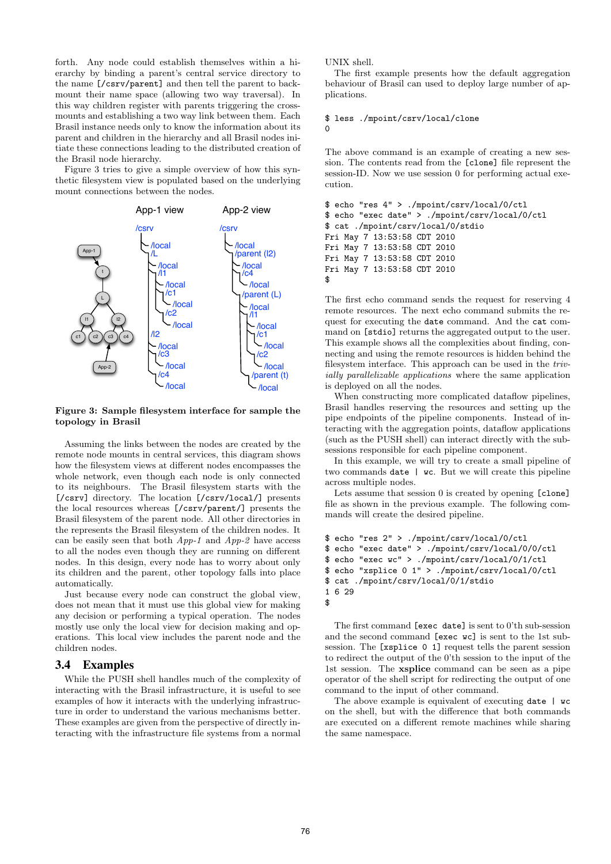forth. Any node could establish themselves within a hierarchy by binding a parent's central service directory to the name [/csrv/parent] and then tell the parent to backmount their name space (allowing two way traversal). In this way children register with parents triggering the crossmounts and establishing a two way link between them. Each Brasil instance needs only to know the information about its parent and children in the hierarchy and all Brasil nodes initiate these connections leading to the distributed creation of the Brasil node hierarchy.

Figure 3 tries to give a simple overview of how this synthetic filesystem view is populated based on the underlying mount connections between the nodes.



Figure 3: Sample filesystem interface for sample the topology in Brasil

Assuming the links between the nodes are created by the remote node mounts in central services, this diagram shows how the filesystem views at different nodes encompasses the whole network, even though each node is only connected to its neighbours. The Brasil filesystem starts with the [/csrv] directory. The location [/csrv/local/] presents the local resources whereas [/csrv/parent/] presents the Brasil filesystem of the parent node. All other directories in the represents the Brasil filesystem of the children nodes. It can be easily seen that both  $App-1$  and  $App-2$  have access to all the nodes even though they are running on different nodes. In this design, every node has to worry about only its children and the parent, other topology falls into place automatically.

Just because every node can construct the global view, does not mean that it must use this global view for making any decision or performing a typical operation. The nodes mostly use only the local view for decision making and operations. This local view includes the parent node and the children nodes.

## 3.4 Examples

While the PUSH shell handles much of the complexity of interacting with the Brasil infrastructure, it is useful to see examples of how it interacts with the underlying infrastructure in order to understand the various mechanisms better. These examples are given from the perspective of directly interacting with the infrastructure file systems from a normal UNIX shell.

The first example presents how the default aggregation behaviour of Brasil can used to deploy large number of applications.

#### \$ less ./mpoint/csrv/local/clone  $\Omega$

The above command is an example of creating a new session. The contents read from the [clone] file represent the session-ID. Now we use session 0 for performing actual execution.

```
$ echo "res 4" > ./mpoint/csrv/local/0/ctl
$ echo "exec date" > ./mpoint/csrv/local/0/ctl
$ cat ./mpoint/csrv/local/0/stdio
Fri May 7 13:53:58 CDT 2010
Fri May 7 13:53:58 CDT 2010
Fri May 7 13:53:58 CDT 2010
Fri May 7 13:53:58 CDT 2010
$
```
The first echo command sends the request for reserving 4 remote resources. The next echo command submits the request for executing the date command. And the cat command on [stdio] returns the aggregated output to the user. This example shows all the complexities about finding, connecting and using the remote resources is hidden behind the filesystem interface. This approach can be used in the trivially parallelizable applications where the same application is deployed on all the nodes.

When constructing more complicated dataflow pipelines, Brasil handles reserving the resources and setting up the pipe endpoints of the pipeline components. Instead of interacting with the aggregation points, dataflow applications (such as the PUSH shell) can interact directly with the subsessions responsible for each pipeline component.

In this example, we will try to create a small pipeline of two commands date | wc. But we will create this pipeline across multiple nodes.

Lets assume that session 0 is created by opening [clone] file as shown in the previous example. The following commands will create the desired pipeline.

```
$ echo "res 2" > ./mpoint/csrv/local/0/ctl
$ echo "exec date" > ./mpoint/csrv/local/0/0/ctl
$ echo "exec wc" > ./mpoint/csrv/local/0/1/ctl
$ echo "xsplice 0 1" > ./mpoint/csrv/local/0/ctl
$ cat ./mpoint/csrv/local/0/1/stdio
1 6 29
$
```
The first command [exec date] is sent to 0'th sub-session and the second command [exec wc] is sent to the 1st subsession. The [xsplice 0 1] request tells the parent session to redirect the output of the 0'th session to the input of the 1st session. The xsplice command can be seen as a pipe operator of the shell script for redirecting the output of one command to the input of other command.

The above example is equivalent of executing date | wc on the shell, but with the difference that both commands are executed on a different remote machines while sharing the same namespace.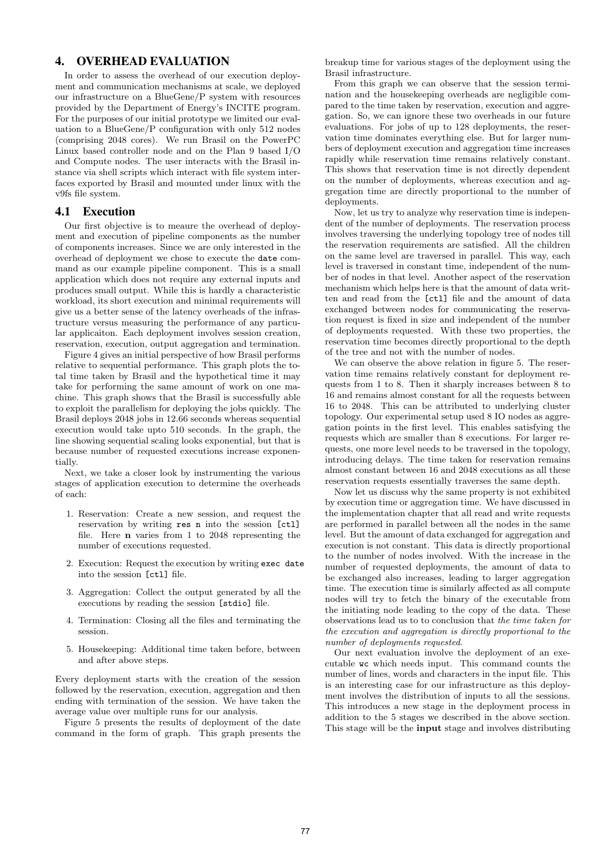## 4. OVERHEAD EVALUATION

In order to assess the overhead of our execution deployment and communication mechanisms at scale, we deployed our infrastructure on a BlueGene/P system with resources provided by the Department of Energy's INCITE program. For the purposes of our initial prototype we limited our evaluation to a BlueGene/P configuration with only 512 nodes (comprising 2048 cores). We run Brasil on the PowerPC Linux based controller node and on the Plan 9 based I/O and Compute nodes. The user interacts with the Brasil instance via shell scripts which interact with file system interfaces exported by Brasil and mounted under linux with the v9fs file system.

#### 4.1 Execution

Our first objective is to meaure the overhead of deployment and execution of pipeline components as the number of components increases. Since we are only interested in the overhead of deployment we chose to execute the date command as our example pipeline component. This is a small application which does not require any external inputs and produces small output. While this is hardly a characteristic workload, its short execution and minimal requirements will give us a better sense of the latency overheads of the infrastructure versus measuring the performance of any particular applicaiton. Each deployment involves session creation, reservation, execution, output aggregation and termination.

Figure 4 gives an initial perspective of how Brasil performs relative to sequential performance. This graph plots the total time taken by Brasil and the hypothetical time it may take for performing the same amount of work on one machine. This graph shows that the Brasil is successfully able to exploit the parallelism for deploying the jobs quickly. The Brasil deploys 2048 jobs in 12.66 seconds whereas sequential execution would take upto 510 seconds. In the graph, the line showing sequential scaling looks exponential, but that is because number of requested executions increase exponentially.

Next, we take a closer look by instrumenting the various stages of application execution to determine the overheads of each:

- 1. Reservation: Create a new session, and request the reservation by writing res n into the session [ctl] file. Here n varies from 1 to 2048 representing the number of executions requested.
- 2. Execution: Request the execution by writing exec date into the session [ctl] file.
- 3. Aggregation: Collect the output generated by all the executions by reading the session [stdio] file.
- 4. Termination: Closing all the files and terminating the session.
- 5. Housekeeping: Additional time taken before, between and after above steps.

Every deployment starts with the creation of the session followed by the reservation, execution, aggregation and then ending with termination of the session. We have taken the average value over multiple runs for our analysis.

Figure 5 presents the results of deployment of the date command in the form of graph. This graph presents the breakup time for various stages of the deployment using the Brasil infrastructure.

From this graph we can observe that the session termination and the housekeeping overheads are negligible compared to the time taken by reservation, execution and aggregation. So, we can ignore these two overheads in our future evaluations. For jobs of up to 128 deployments, the reservation time dominates everything else. But for larger numbers of deployment execution and aggregation time increases rapidly while reservation time remains relatively constant. This shows that reservation time is not directly dependent on the number of deployments, whereas execution and aggregation time are directly proportional to the number of deployments.

Now, let us try to analyze why reservation time is independent of the number of deployments. The reservation process involves traversing the underlying topology tree of nodes till the reservation requirements are satisfied. All the children on the same level are traversed in parallel. This way, each level is traversed in constant time, independent of the number of nodes in that level. Another aspect of the reservation mechanism which helps here is that the amount of data written and read from the [ctl] file and the amount of data exchanged between nodes for communicating the reservation request is fixed in size and independent of the number of deployments requested. With these two properties, the reservation time becomes directly proportional to the depth of the tree and not with the number of nodes.

We can observe the above relation in figure 5. The reservation time remains relatively constant for deployment requests from 1 to 8. Then it sharply increases between 8 to 16 and remains almost constant for all the requests between 16 to 2048. This can be attributed to underlying cluster topology. Our experimental setup used 8 IO nodes as aggregation points in the first level. This enables satisfying the requests which are smaller than 8 executions. For larger requests, one more level needs to be traversed in the topology, introducing delays. The time taken for reservation remains almost constant between 16 and 2048 executions as all these reservation requests essentially traverses the same depth.

Now let us discuss why the same property is not exhibited by execution time or aggregation time. We have discussed in the implementation chapter that all read and write requests are performed in parallel between all the nodes in the same level. But the amount of data exchanged for aggregation and execution is not constant. This data is directly proportional to the number of nodes involved. With the increase in the number of requested deployments, the amount of data to be exchanged also increases, leading to larger aggregation time. The execution time is similarly affected as all compute nodes will try to fetch the binary of the executable from the initiating node leading to the copy of the data. These observations lead us to to conclusion that the time taken for the execution and aggregation is directly proportional to the number of deployments requested.

Our next evaluation involve the deployment of an executable wc which needs input. This command counts the number of lines, words and characters in the input file. This is an interesting case for our infrastructure as this deployment involves the distribution of inputs to all the sessions. This introduces a new stage in the deployment process in addition to the 5 stages we described in the above section. This stage will be the input stage and involves distributing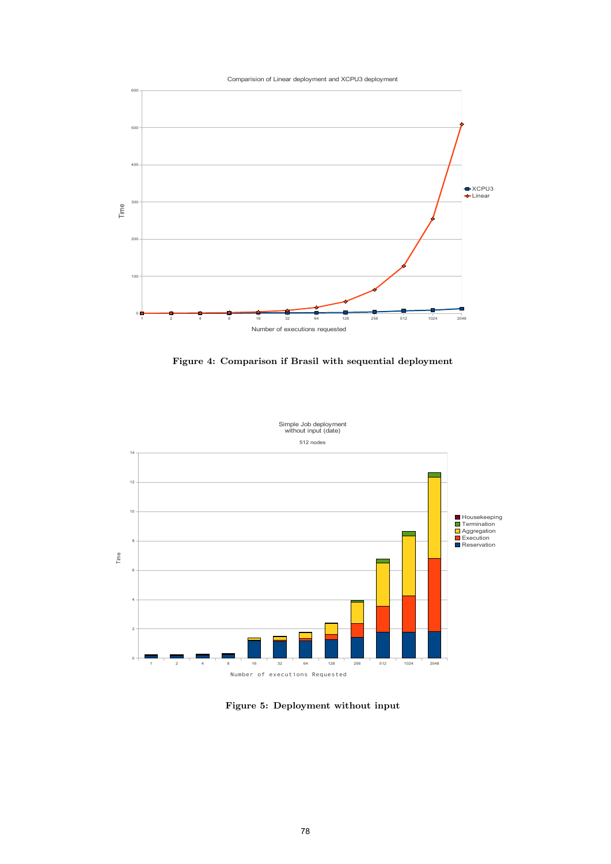



Figure 4: Comparison if Brasil with sequential deployment



Figure 5: Deployment without input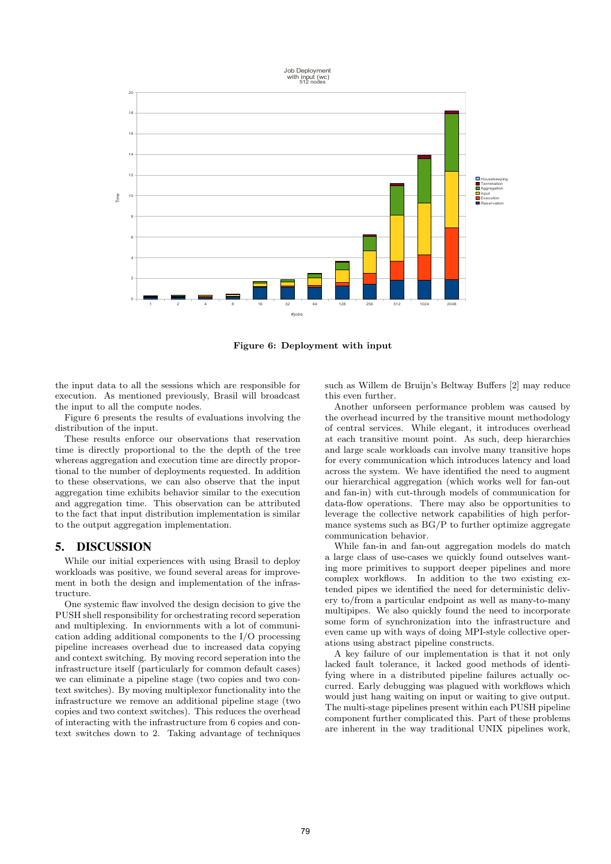



the input data to all the sessions which are responsible for execution. As mentioned previously, Brasil will broadcast the input to all the compute nodes.

Figure 6 presents the results of evaluations involving the distribution of the input.

These results enforce our observations that reservation time is directly proportional to the the depth of the tree whereas aggregation and execution time are directly proportional to the number of deployments requested. In addition to these observations, we can also observe that the input aggregation time exhibits behavior similar to the execution and aggregation time. This observation can be attributed to the fact that input distribution implementation is similar to the output aggregation implementation.

## 5. DISCUSSION

While our initial experiences with using Brasil to deploy workloads was positive, we found several areas for improvement in both the design and implementation of the infrastructure.

One systemic flaw involved the design decision to give the PUSH shell responsibility for orchestrating record seperation and multiplexing. In enviornments with a lot of communication adding additional components to the I/O processing pipeline increases overhead due to increased data copying and context switching. By moving record seperation into the infrastructure itself (particularly for common default cases) we can eliminate a pipeline stage (two copies and two context switches). By moving multiplexor functionality into the infrastructure we remove an additional pipeline stage (two copies and two context switches). This reduces the overhead of interacting with the infrastructure from 6 copies and context switches down to 2. Taking advantage of techniques such as Willem de Bruijn's Beltway Buffers [2] may reduce this even further.

Another unforseen performance problem was caused by the overhead incurred by the transitive mount methodology of central services. While elegant, it introduces overhead at each transitive mount point. As such, deep hierarchies and large scale workloads can involve many transitive hops for every communication which introduces latency and load across the system. We have identified the need to augment our hierarchical aggregation (which works well for fan-out and fan-in) with cut-through models of communication for data-flow operations. There may also be opportunities to leverage the collective network capabilities of high performance systems such as BG/P to further optimize aggregate communication behavior.

While fan-in and fan-out aggregation models do match a large class of use-cases we quickly found outselves wanting more primitives to support deeper pipelines and more complex workflows. In addition to the two existing extended pipes we identified the need for deterministic delivery to/from a particular endpoint as well as many-to-many multipipes. We also quickly found the need to incorporate some form of synchronization into the infrastructure and even came up with ways of doing MPI-style collective operations using abstract pipeline constructs.

A key failure of our implementation is that it not only lacked fault tolerance, it lacked good methods of identifying where in a distributed pipeline failures actually occurred. Early debugging was plagued with workflows which would just hang waiting on input or waiting to give output. The multi-stage pipelines present within each PUSH pipeline component further complicated this. Part of these problems are inherent in the way traditional UNIX pipelines work,